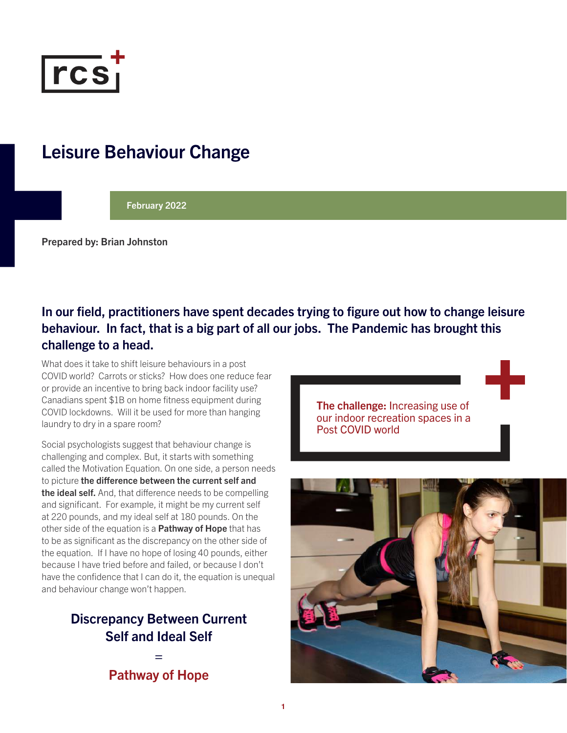

## Leisure Behaviour Change

February 2022

Prepared by: Brian Johnston

In our field, practitioners have spent decades trying to figure out how to change leisure behaviour. In fact, that is a big part of all our jobs. The Pandemic has brought this challenge to a head.

What does it take to shift leisure behaviours in a post COVID world? Carrots or sticks? How does one reduce fear or provide an incentive to bring back indoor facility use? Canadians spent \$1B on home fitness equipment during COVID lockdowns. Will it be used for more than hanging laundry to dry in a spare room?

Social psychologists suggest that behaviour change is challenging and complex. But, it starts with something called the Motivation Equation. On one side, a person needs to picture the difference between the current self and the ideal self. And, that difference needs to be compelling and significant. For example, it might be my current self at 220 pounds, and my ideal self at 180 pounds. On the other side of the equation is a Pathway of Hope that has to be as significant as the discrepancy on the other side of the equation. If I have no hope of losing 40 pounds, either because I have tried before and failed, or because I don't have the confidence that I can do it, the equation is unequal and behaviour change won't happen.

> Discrepancy Between Current Self and Ideal Self =

> > Pathway of Hope